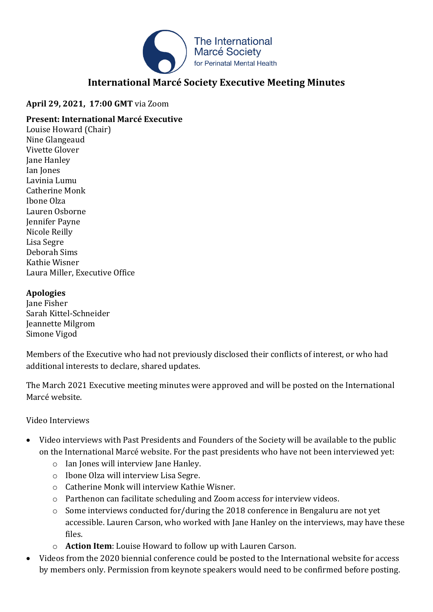

# **International Marcé Society Executive Meeting Minutes**

### **April 29, 2021, 17:00 GMT** via Zoom

### **Present: International Marcé Executive**

Louise Howard (Chair) Nine Glangeaud Vivette Glover Jane Hanley Ian Jones Lavinia Lumu Catherine Monk Ibone Olza Lauren Osborne Jennifer Payne Nicole Reilly Lisa Segre Deborah Sims Kathie Wisner Laura Miller, Executive Office

### **Apologies**

Jane Fisher Sarah Kittel-Schneider Jeannette Milgrom Simone Vigod

Members of the Executive who had not previously disclosed their conflicts of interest, or who had additional interests to declare, shared updates.

The March 2021 Executive meeting minutes were approved and will be posted on the International Marcé website.

### Video Interviews

- Video interviews with Past Presidents and Founders of the Society will be available to the public on the International Marcé website. For the past presidents who have not been interviewed yet:
	- o Ian Jones will interview Jane Hanley.
	- o Ibone Olza will interview Lisa Segre.
	- o Catherine Monk will interview Kathie Wisner.
	- o Parthenon can facilitate scheduling and Zoom access for interview videos.
	- o Some interviews conducted for/during the 2018 conference in Bengaluru are not yet accessible. Lauren Carson, who worked with Jane Hanley on the interviews, may have these files.
	- o **Action Item**: Louise Howard to follow up with Lauren Carson.
- Videos from the 2020 biennial conference could be posted to the International website for access by members only. Permission from keynote speakers would need to be confirmed before posting.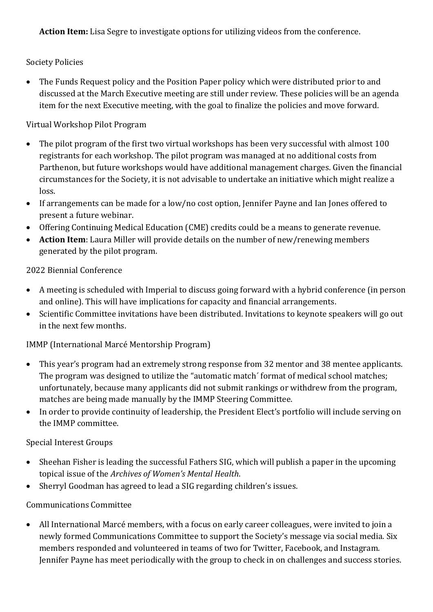**Action Item:** Lisa Segre to investigate options for utilizing videos from the conference.

### Society Policies

• The Funds Request policy and the Position Paper policy which were distributed prior to and discussed at the March Executive meeting are still under review. These policies will be an agenda item for the next Executive meeting, with the goal to finalize the policies and move forward.

### Virtual Workshop Pilot Program

- The pilot program of the first two virtual workshops has been very successful with almost 100 registrants for each workshop. The pilot program was managed at no additional costs from Parthenon, but future workshops would have additional management charges. Given the financial circumstances for the Society, it is not advisable to undertake an initiative which might realize a loss.
- If arrangements can be made for a low/no cost option, Jennifer Payne and Ian Jones offered to present a future webinar.
- Offering Continuing Medical Education (CME) credits could be a means to generate revenue.
- **Action Item**: Laura Miller will provide details on the number of new/renewing members generated by the pilot program.

### 2022 Biennial Conference

- A meeting is scheduled with Imperial to discuss going forward with a hybrid conference (in person and online). This will have implications for capacity and financial arrangements.
- Scientific Committee invitations have been distributed. Invitations to keynote speakers will go out in the next few months.

### IMMP (International Marcé Mentorship Program)

- This year's program had an extremely strong response from 32 mentor and 38 mentee applicants. The program was designed to utilize the "automatic match' format of medical school matches; unfortunately, because many applicants did not submit rankings or withdrew from the program, matches are being made manually by the IMMP Steering Committee.
- In order to provide continuity of leadership, the President Elect's portfolio will include serving on the IMMP committee.

## Special Interest Groups

- Sheehan Fisher is leading the successful Fathers SIG, which will publish a paper in the upcoming topical issue of the *Archives of Women's Mental Health*.
- Sherryl Goodman has agreed to lead a SIG regarding children's issues.

### Communications Committee

• All International Marcé members, with a focus on early career colleagues, were invited to join a newly formed Communications Committee to support the Society's message via social media. Six members responded and volunteered in teams of two for Twitter, Facebook, and Instagram. Jennifer Payne has meet periodically with the group to check in on challenges and success stories.